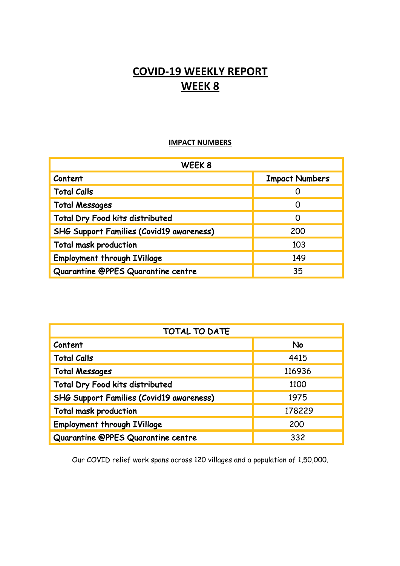# **COVID-19 WEEKLY REPORT WEEK 8**

## **IMPACT NUMBERS**

| WEEK8                                    |                       |
|------------------------------------------|-----------------------|
| Content                                  | <b>Impact Numbers</b> |
| <b>Total Calls</b>                       |                       |
| <b>Total Messages</b>                    |                       |
| Total Dry Food kits distributed          | O                     |
| SHG Support Families (Covid19 awareness) | 200                   |
| <b>Total mask production</b>             | 103                   |
| <b>Employment through IVillage</b>       | 149                   |
| Quarantine @PPES Quarantine centre       | 35                    |

| <b>TOTAL TO DATE</b>                            |           |
|-------------------------------------------------|-----------|
| Content                                         | <b>No</b> |
| <b>Total Calls</b>                              | 4415      |
| <b>Total Messages</b>                           | 116936    |
| Total Dry Food kits distributed                 | 1100      |
| <b>SHG Support Families (Covid19 awareness)</b> | 1975      |
| Total mask production                           | 178229    |
| <b>Employment through IVillage</b>              | 200       |
| Quarantine @PPES Quarantine centre              | 332       |

Our COVID relief work spans across 120 villages and a population of 1,50,000.